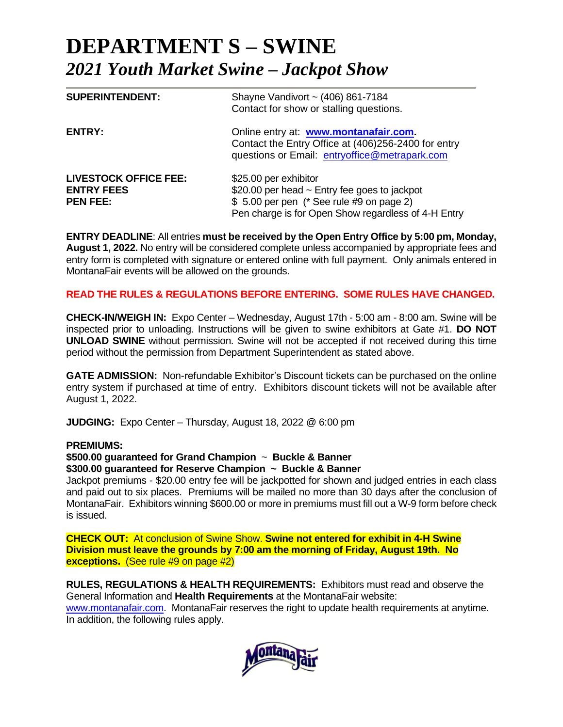# **DEPARTMENT S – SWINE**  *2021 Youth Market Swine – Jackpot Show*

| <b>SUPERINTENDENT:</b>                                               | Shayne Vandivort ~ (406) 861-7184<br>Contact for show or stalling questions.                                                                                                   |
|----------------------------------------------------------------------|--------------------------------------------------------------------------------------------------------------------------------------------------------------------------------|
| ENTRY:                                                               | Online entry at: www.montanafair.com.<br>Contact the Entry Office at (406)256-2400 for entry<br>questions or Email: entryoffice@metrapark.com                                  |
| <b>LIVESTOCK OFFICE FEE:</b><br><b>ENTRY FEES</b><br><b>PEN FEE:</b> | \$25.00 per exhibitor<br>\$20.00 per head $\sim$ Entry fee goes to jackpot<br>\$ 5.00 per pen (* See rule #9 on page 2)<br>Pen charge is for Open Show regardless of 4-H Entry |

**ENTRY DEADLINE**: All entries **must be received by the Open Entry Office by 5:00 pm, Monday, August 1, 2022.** No entry will be considered complete unless accompanied by appropriate fees and entry form is completed with signature or entered online with full payment. Only animals entered in MontanaFair events will be allowed on the grounds.

## **READ THE RULES & REGULATIONS BEFORE ENTERING. SOME RULES HAVE CHANGED.**

**CHECK-IN/WEIGH IN:** Expo Center – Wednesday, August 17th - 5:00 am - 8:00 am. Swine will be inspected prior to unloading. Instructions will be given to swine exhibitors at Gate #1. **DO NOT UNLOAD SWINE** without permission. Swine will not be accepted if not received during this time period without the permission from Department Superintendent as stated above.

**GATE ADMISSION:** Non-refundable Exhibitor's Discount tickets can be purchased on the online entry system if purchased at time of entry. Exhibitors discount tickets will not be available after August 1, 2022.

**JUDGING:** Expo Center – Thursday, August 18, 2022 @ 6:00 pm

## **PREMIUMS:**

### **\$500.00 guaranteed for Grand Champion** ~ **Buckle & Banner \$300.00 guaranteed for Reserve Champion ~ Buckle & Banner**

Jackpot premiums - \$20.00 entry fee will be jackpotted for shown and judged entries in each class and paid out to six places. Premiums will be mailed no more than 30 days after the conclusion of MontanaFair. Exhibitors winning \$600.00 or more in premiums must fill out a W-9 form before check is issued.

**CHECK OUT:** At conclusion of Swine Show. **Swine not entered for exhibit in 4-H Swine Division must leave the grounds by 7:00 am the morning of Friday, August 19th. No exceptions.** (See rule #9 on page #2)

**RULES, REGULATIONS & HEALTH REQUIREMENTS:** Exhibitors must read and observe the General Information and **Health Requirements** at the MontanaFair website:

[www.montanafair.com.](http://www.montanafair.com/) MontanaFair reserves the right to update health requirements at anytime. In addition, the following rules apply.

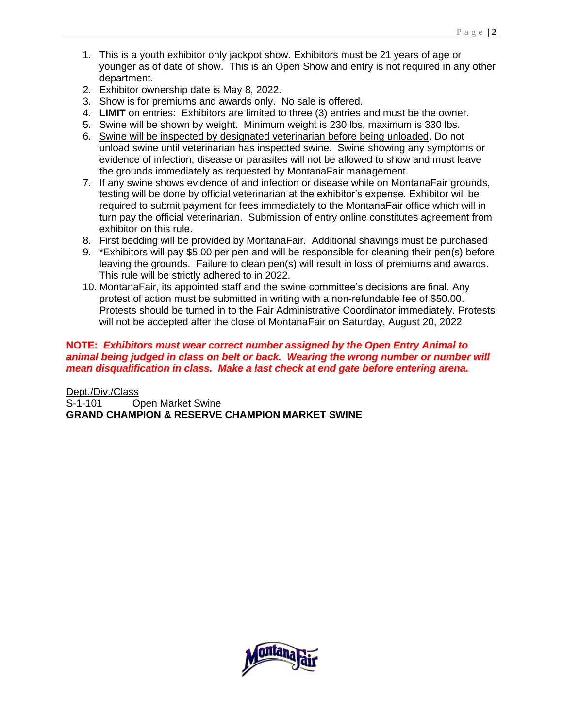- 1. This is a youth exhibitor only jackpot show. Exhibitors must be 21 years of age or younger as of date of show. This is an Open Show and entry is not required in any other department.
- 2. Exhibitor ownership date is May 8, 2022.
- 3. Show is for premiums and awards only. No sale is offered.
- 4. **LIMIT** on entries: Exhibitors are limited to three (3) entries and must be the owner.
- 5. Swine will be shown by weight. Minimum weight is 230 lbs, maximum is 330 lbs.
- 6. Swine will be inspected by designated veterinarian before being unloaded. Do not unload swine until veterinarian has inspected swine. Swine showing any symptoms or evidence of infection, disease or parasites will not be allowed to show and must leave the grounds immediately as requested by MontanaFair management.
- 7. If any swine shows evidence of and infection or disease while on MontanaFair grounds, testing will be done by official veterinarian at the exhibitor's expense. Exhibitor will be required to submit payment for fees immediately to the MontanaFair office which will in turn pay the official veterinarian. Submission of entry online constitutes agreement from exhibitor on this rule.
- 8. First bedding will be provided by MontanaFair. Additional shavings must be purchased
- 9. \*Exhibitors will pay \$5.00 per pen and will be responsible for cleaning their pen(s) before leaving the grounds. Failure to clean pen(s) will result in loss of premiums and awards. This rule will be strictly adhered to in 2022.
- 10. MontanaFair, its appointed staff and the swine committee's decisions are final. Any protest of action must be submitted in writing with a non-refundable fee of \$50.00. Protests should be turned in to the Fair Administrative Coordinator immediately. Protests will not be accepted after the close of MontanaFair on Saturday, August 20, 2022

## **NOTE:** *Exhibitors must wear correct number assigned by the Open Entry Animal to animal being judged in class on belt or back. Wearing the wrong number or number will mean disqualification in class. Make a last check at end gate before entering arena.*

Dept./Div./Class S-1-101 Open Market Swine **GRAND CHAMPION & RESERVE CHAMPION MARKET SWINE**

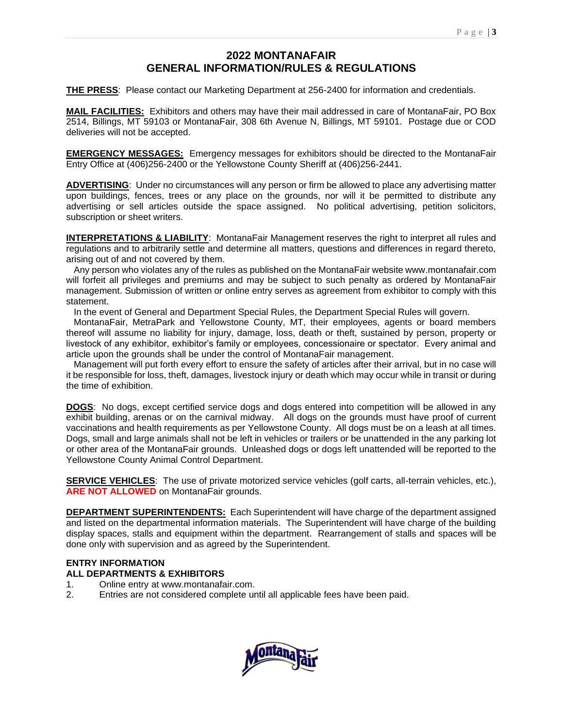# **2022 MONTANAFAIR GENERAL INFORMATION/RULES & REGULATIONS**

**THE PRESS**: Please contact our Marketing Department at 256-2400 for information and credentials.

**MAIL FACILITIES:** Exhibitors and others may have their mail addressed in care of MontanaFair, PO Box 2514, Billings, MT 59103 or MontanaFair, 308 6th Avenue N, Billings, MT 59101. Postage due or COD deliveries will not be accepted.

**EMERGENCY MESSAGES:** Emergency messages for exhibitors should be directed to the MontanaFair Entry Office at (406)256-2400 or the Yellowstone County Sheriff at (406)256-2441.

**ADVERTISING**: Under no circumstances will any person or firm be allowed to place any advertising matter upon buildings, fences, trees or any place on the grounds, nor will it be permitted to distribute any advertising or sell articles outside the space assigned. No political advertising, petition solicitors, subscription or sheet writers.

**INTERPRETATIONS & LIABILITY**: MontanaFair Management reserves the right to interpret all rules and regulations and to arbitrarily settle and determine all matters, questions and differences in regard thereto, arising out of and not covered by them.

 Any person who violates any of the rules as published on the MontanaFair website www.montanafair.com will forfeit all privileges and premiums and may be subject to such penalty as ordered by MontanaFair management. Submission of written or online entry serves as agreement from exhibitor to comply with this statement.

In the event of General and Department Special Rules, the Department Special Rules will govern.

 MontanaFair, MetraPark and Yellowstone County, MT, their employees, agents or board members thereof will assume no liability for injury, damage, loss, death or theft, sustained by person, property or livestock of any exhibitor, exhibitor's family or employees, concessionaire or spectator. Every animal and article upon the grounds shall be under the control of MontanaFair management.

 Management will put forth every effort to ensure the safety of articles after their arrival, but in no case will it be responsible for loss, theft, damages, livestock injury or death which may occur while in transit or during the time of exhibition.

**DOGS**: No dogs, except certified service dogs and dogs entered into competition will be allowed in any exhibit building, arenas or on the carnival midway. All dogs on the grounds must have proof of current vaccinations and health requirements as per Yellowstone County. All dogs must be on a leash at all times. Dogs, small and large animals shall not be left in vehicles or trailers or be unattended in the any parking lot or other area of the MontanaFair grounds. Unleashed dogs or dogs left unattended will be reported to the Yellowstone County Animal Control Department.

**SERVICE VEHICLES**: The use of private motorized service vehicles (golf carts, all-terrain vehicles, etc.), **ARE NOT ALLOWED** on MontanaFair grounds.

**DEPARTMENT SUPERINTENDENTS:** Each Superintendent will have charge of the department assigned and listed on the departmental information materials. The Superintendent will have charge of the building display spaces, stalls and equipment within the department. Rearrangement of stalls and spaces will be done only with supervision and as agreed by the Superintendent.

## **ENTRY INFORMATION**

#### **ALL DEPARTMENTS & EXHIBITORS**

- 1. Online entry at www.montanafair.com.
- 2. Entries are not considered complete until all applicable fees have been paid.

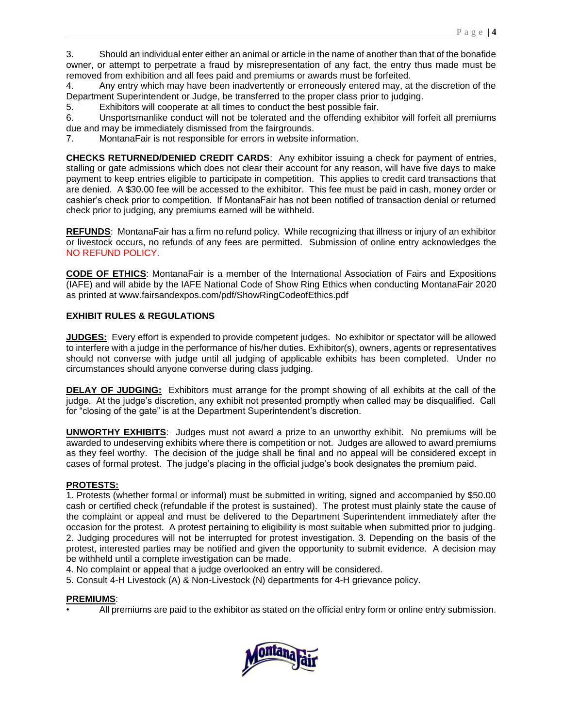3. Should an individual enter either an animal or article in the name of another than that of the bonafide owner, or attempt to perpetrate a fraud by misrepresentation of any fact, the entry thus made must be removed from exhibition and all fees paid and premiums or awards must be forfeited.

4. Any entry which may have been inadvertently or erroneously entered may, at the discretion of the Department Superintendent or Judge, be transferred to the proper class prior to judging.

5. Exhibitors will cooperate at all times to conduct the best possible fair.

6. Unsportsmanlike conduct will not be tolerated and the offending exhibitor will forfeit all premiums due and may be immediately dismissed from the fairgrounds.

7. MontanaFair is not responsible for errors in website information.

**CHECKS RETURNED/DENIED CREDIT CARDS**: Any exhibitor issuing a check for payment of entries, stalling or gate admissions which does not clear their account for any reason, will have five days to make payment to keep entries eligible to participate in competition. This applies to credit card transactions that are denied. A \$30.00 fee will be accessed to the exhibitor. This fee must be paid in cash, money order or cashier's check prior to competition. If MontanaFair has not been notified of transaction denial or returned check prior to judging, any premiums earned will be withheld.

**REFUNDS**: MontanaFair has a firm no refund policy. While recognizing that illness or injury of an exhibitor or livestock occurs, no refunds of any fees are permitted. Submission of online entry acknowledges the NO REFUND POLICY.

**CODE OF ETHICS**: MontanaFair is a member of the International Association of Fairs and Expositions (IAFE) and will abide by the IAFE National Code of Show Ring Ethics when conducting MontanaFair 2020 as printed at www.fairsandexpos.com/pdf/ShowRingCodeofEthics.pdf

### **EXHIBIT RULES & REGULATIONS**

**JUDGES:** Every effort is expended to provide competent judges. No exhibitor or spectator will be allowed to interfere with a judge in the performance of his/her duties. Exhibitor(s), owners, agents or representatives should not converse with judge until all judging of applicable exhibits has been completed. Under no circumstances should anyone converse during class judging.

**DELAY OF JUDGING:** Exhibitors must arrange for the prompt showing of all exhibits at the call of the judge. At the judge's discretion, any exhibit not presented promptly when called may be disqualified. Call for "closing of the gate" is at the Department Superintendent's discretion.

**UNWORTHY EXHIBITS**: Judges must not award a prize to an unworthy exhibit. No premiums will be awarded to undeserving exhibits where there is competition or not. Judges are allowed to award premiums as they feel worthy. The decision of the judge shall be final and no appeal will be considered except in cases of formal protest. The judge's placing in the official judge's book designates the premium paid.

#### **PROTESTS:**

1. Protests (whether formal or informal) must be submitted in writing, signed and accompanied by \$50.00 cash or certified check (refundable if the protest is sustained). The protest must plainly state the cause of the complaint or appeal and must be delivered to the Department Superintendent immediately after the occasion for the protest. A protest pertaining to eligibility is most suitable when submitted prior to judging. 2. Judging procedures will not be interrupted for protest investigation. 3. Depending on the basis of the protest, interested parties may be notified and given the opportunity to submit evidence. A decision may be withheld until a complete investigation can be made.

4. No complaint or appeal that a judge overlooked an entry will be considered.

5. Consult 4-H Livestock (A) & Non-Livestock (N) departments for 4-H grievance policy.

#### **PREMIUMS**:

• All premiums are paid to the exhibitor as stated on the official entry form or online entry submission.